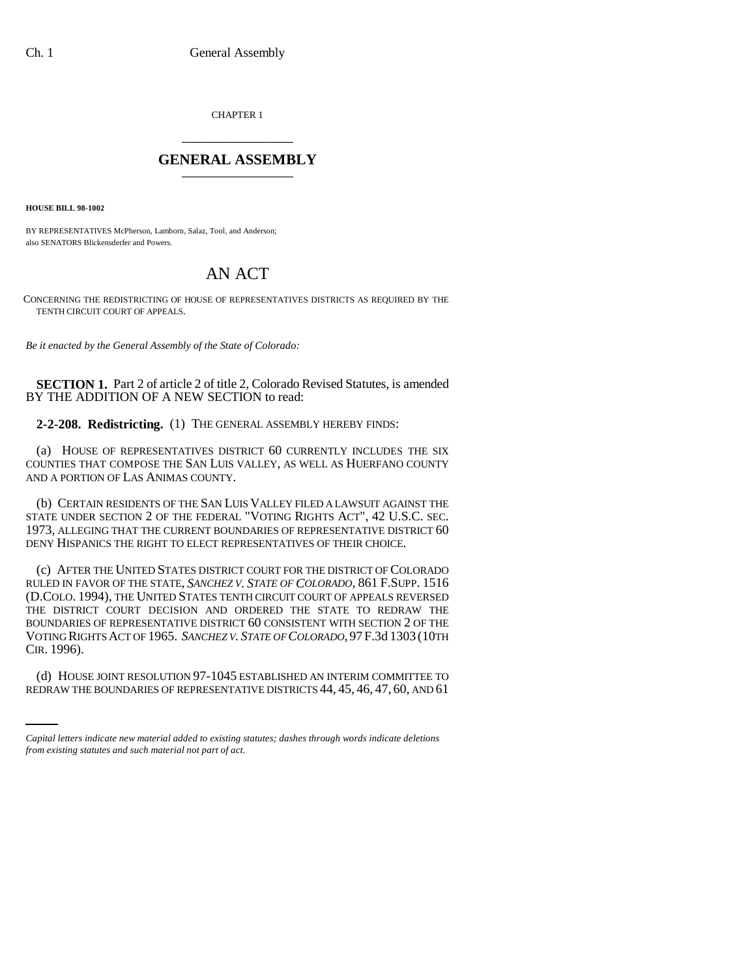CHAPTER 1 \_\_\_\_\_\_\_\_\_\_\_\_\_\_\_

## **GENERAL ASSEMBLY** \_\_\_\_\_\_\_\_\_\_\_\_\_\_\_

**HOUSE BILL 98-1002**

BY REPRESENTATIVES McPherson, Lamborn, Salaz, Tool, and Anderson; also SENATORS Blickensderfer and Powers.

## AN ACT

CONCERNING THE REDISTRICTING OF HOUSE OF REPRESENTATIVES DISTRICTS AS REQUIRED BY THE TENTH CIRCUIT COURT OF APPEALS.

*Be it enacted by the General Assembly of the State of Colorado:*

**SECTION 1.** Part 2 of article 2 of title 2, Colorado Revised Statutes, is amended BY THE ADDITION OF A NEW SECTION to read:

**2-2-208. Redistricting.** (1) THE GENERAL ASSEMBLY HEREBY FINDS:

(a) HOUSE OF REPRESENTATIVES DISTRICT 60 CURRENTLY INCLUDES THE SIX COUNTIES THAT COMPOSE THE SAN LUIS VALLEY, AS WELL AS HUERFANO COUNTY AND A PORTION OF LAS ANIMAS COUNTY.

(b) CERTAIN RESIDENTS OF THE SAN LUIS VALLEY FILED A LAWSUIT AGAINST THE STATE UNDER SECTION 2 OF THE FEDERAL "VOTING RIGHTS ACT", 42 U.S.C. SEC. 1973, ALLEGING THAT THE CURRENT BOUNDARIES OF REPRESENTATIVE DISTRICT 60 DENY HISPANICS THE RIGHT TO ELECT REPRESENTATIVES OF THEIR CHOICE.

 $\sim$ (c) AFTER THE UNITED STATES DISTRICT COURT FOR THE DISTRICT OF COLORADO RULED IN FAVOR OF THE STATE, *SANCHEZ V. STATE OF COLORADO*, 861 F.SUPP. 1516 (D.COLO. 1994), THE UNITED STATES TENTH CIRCUIT COURT OF APPEALS REVERSED THE DISTRICT COURT DECISION AND ORDERED THE STATE TO REDRAW THE BOUNDARIES OF REPRESENTATIVE DISTRICT 60 CONSISTENT WITH SECTION 2 OF THE VOTING RIGHTS ACT OF 1965. *SANCHEZ V. STATE OF COLORADO*, 97F.3d 1303 (10TH CIR. 1996).

(d) HOUSE JOINT RESOLUTION 97-1045 ESTABLISHED AN INTERIM COMMITTEE TO REDRAW THE BOUNDARIES OF REPRESENTATIVE DISTRICTS 44, 45, 46, 47, 60, AND 61

*Capital letters indicate new material added to existing statutes; dashes through words indicate deletions from existing statutes and such material not part of act.*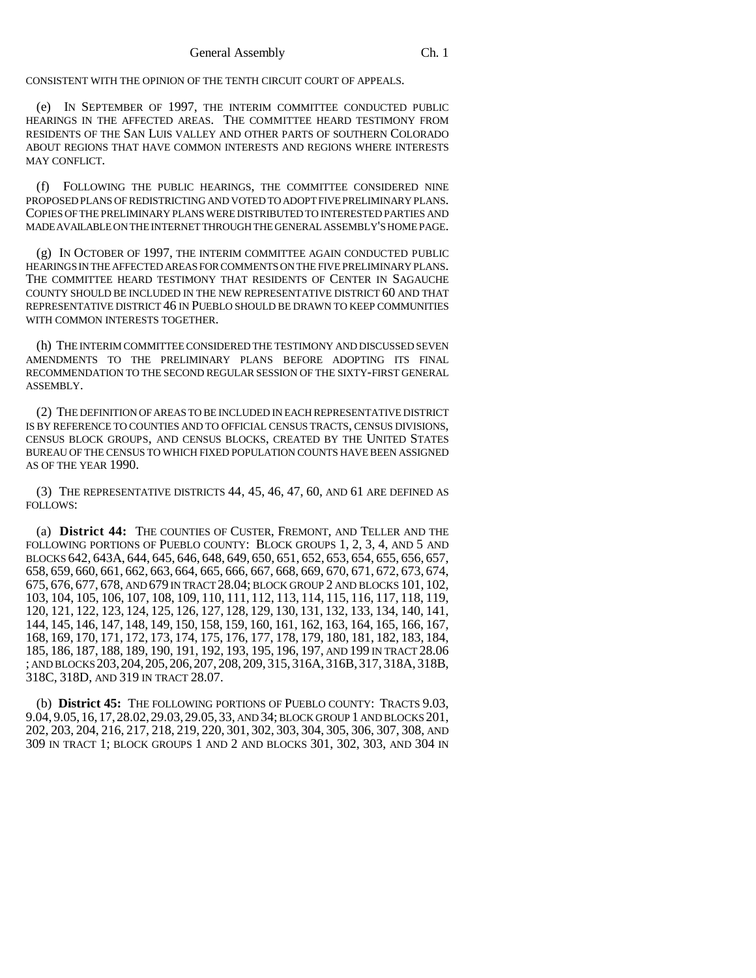CONSISTENT WITH THE OPINION OF THE TENTH CIRCUIT COURT OF APPEALS.

(e) IN SEPTEMBER OF 1997, THE INTERIM COMMITTEE CONDUCTED PUBLIC HEARINGS IN THE AFFECTED AREAS. THE COMMITTEE HEARD TESTIMONY FROM RESIDENTS OF THE SAN LUIS VALLEY AND OTHER PARTS OF SOUTHERN COLORADO ABOUT REGIONS THAT HAVE COMMON INTERESTS AND REGIONS WHERE INTERESTS MAY CONFLICT.

(f) FOLLOWING THE PUBLIC HEARINGS, THE COMMITTEE CONSIDERED NINE PROPOSED PLANS OF REDISTRICTING AND VOTED TO ADOPT FIVE PRELIMINARY PLANS. COPIES OF THE PRELIMINARY PLANS WERE DISTRIBUTED TO INTERESTED PARTIES AND MADE AVAILABLE ON THE INTERNET THROUGH THE GENERAL ASSEMBLY'S HOME PAGE.

(g) IN OCTOBER OF 1997, THE INTERIM COMMITTEE AGAIN CONDUCTED PUBLIC HEARINGS IN THE AFFECTED AREAS FOR COMMENTS ON THE FIVE PRELIMINARY PLANS. THE COMMITTEE HEARD TESTIMONY THAT RESIDENTS OF CENTER IN SAGAUCHE COUNTY SHOULD BE INCLUDED IN THE NEW REPRESENTATIVE DISTRICT 60 AND THAT REPRESENTATIVE DISTRICT 46 IN PUEBLO SHOULD BE DRAWN TO KEEP COMMUNITIES WITH COMMON INTERESTS TOGETHER.

(h) THE INTERIM COMMITTEE CONSIDERED THE TESTIMONY AND DISCUSSED SEVEN AMENDMENTS TO THE PRELIMINARY PLANS BEFORE ADOPTING ITS FINAL RECOMMENDATION TO THE SECOND REGULAR SESSION OF THE SIXTY-FIRST GENERAL ASSEMBLY.

(2) THE DEFINITION OF AREAS TO BE INCLUDED IN EACH REPRESENTATIVE DISTRICT IS BY REFERENCE TO COUNTIES AND TO OFFICIAL CENSUS TRACTS, CENSUS DIVISIONS, CENSUS BLOCK GROUPS, AND CENSUS BLOCKS, CREATED BY THE UNITED STATES BUREAU OF THE CENSUS TO WHICH FIXED POPULATION COUNTS HAVE BEEN ASSIGNED AS OF THE YEAR 1990.

(3) THE REPRESENTATIVE DISTRICTS 44, 45, 46, 47, 60, AND 61 ARE DEFINED AS FOLLOWS:

(a) **District 44:** THE COUNTIES OF CUSTER, FREMONT, AND TELLER AND THE FOLLOWING PORTIONS OF PUEBLO COUNTY: BLOCK GROUPS 1, 2, 3, 4, AND 5 AND BLOCKS 642, 643A, 644, 645, 646, 648, 649, 650, 651, 652, 653, 654, 655, 656, 657, 658, 659, 660, 661, 662, 663, 664, 665, 666, 667, 668, 669, 670, 671, 672, 673, 674, 675, 676, 677, 678, AND 679 IN TRACT 28.04; BLOCK GROUP 2 AND BLOCKS 101, 102, 103, 104, 105, 106, 107, 108, 109, 110, 111, 112, 113, 114, 115, 116, 117, 118, 119, 120, 121, 122, 123, 124, 125, 126, 127, 128, 129, 130, 131, 132, 133, 134, 140, 141, 144, 145, 146, 147, 148, 149, 150, 158, 159, 160, 161, 162, 163, 164, 165, 166, 167, 168, 169, 170, 171, 172, 173, 174, 175, 176, 177, 178, 179, 180, 181, 182, 183, 184, 185, 186, 187, 188, 189, 190, 191, 192, 193, 195, 196, 197, AND 199 IN TRACT 28.06 ; AND BLOCKS 203,204,205,206,207, 208, 209, 315, 316A, 316B, 317, 318A, 318B, 318C, 318D, AND 319 IN TRACT 28.07.

(b) **District 45:** THE FOLLOWING PORTIONS OF PUEBLO COUNTY: TRACTS 9.03, 9.04, 9.05,16,17,28.02,29.03,29.05,33, AND 34; BLOCK GROUP 1 AND BLOCKS 201, 202, 203, 204, 216, 217, 218, 219, 220, 301, 302, 303, 304, 305, 306, 307, 308, AND 309 IN TRACT 1; BLOCK GROUPS 1 AND 2 AND BLOCKS 301, 302, 303, AND 304 IN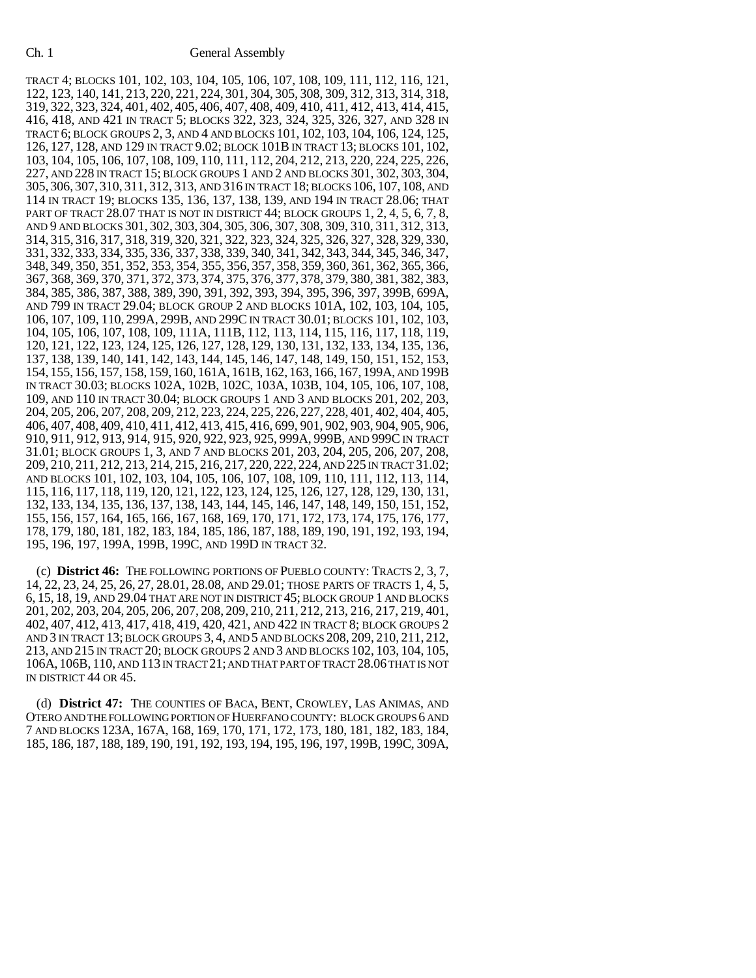TRACT 4; BLOCKS 101, 102, 103, 104, 105, 106, 107, 108, 109, 111, 112, 116, 121, 122, 123, 140, 141, 213, 220, 221, 224, 301, 304, 305, 308, 309, 312, 313, 314, 318, 319, 322, 323, 324, 401, 402, 405, 406, 407, 408, 409, 410, 411, 412, 413, 414, 415, 416, 418, AND 421 IN TRACT 5; BLOCKS 322, 323, 324, 325, 326, 327, AND 328 IN TRACT 6; BLOCK GROUPS 2, 3, AND 4 AND BLOCKS 101, 102, 103, 104, 106, 124, 125, 126, 127, 128, AND 129 IN TRACT 9.02; BLOCK 101B IN TRACT 13; BLOCKS 101, 102, 103, 104, 105, 106, 107, 108, 109, 110, 111, 112, 204, 212, 213, 220, 224, 225, 226, 227, AND 228 IN TRACT 15; BLOCK GROUPS 1 AND 2 AND BLOCKS 301, 302, 303, 304, 305, 306, 307, 310, 311, 312, 313, AND 316 IN TRACT 18; BLOCKS 106, 107, 108, AND 114 IN TRACT 19; BLOCKS 135, 136, 137, 138, 139, AND 194 IN TRACT 28.06; THAT PART OF TRACT 28.07 THAT IS NOT IN DISTRICT 44; BLOCK GROUPS 1, 2, 4, 5, 6, 7, 8, AND 9 AND BLOCKS 301, 302, 303, 304, 305, 306, 307, 308, 309, 310, 311, 312, 313, 314, 315, 316, 317, 318, 319, 320, 321, 322, 323, 324, 325, 326, 327, 328, 329, 330, 331, 332, 333, 334, 335, 336, 337, 338, 339, 340, 341, 342, 343, 344, 345, 346, 347, 348, 349, 350, 351, 352, 353, 354, 355, 356, 357, 358, 359, 360, 361, 362, 365, 366, 367, 368, 369, 370, 371, 372, 373, 374, 375, 376, 377, 378, 379, 380, 381, 382, 383, 384, 385, 386, 387, 388, 389, 390, 391, 392, 393, 394, 395, 396, 397, 399B, 699A, AND 799 IN TRACT 29.04; BLOCK GROUP 2 AND BLOCKS 101A, 102, 103, 104, 105, 106, 107, 109, 110, 299A, 299B, AND 299C IN TRACT 30.01; BLOCKS 101, 102, 103, 104, 105, 106, 107, 108, 109, 111A, 111B, 112, 113, 114, 115, 116, 117, 118, 119, 120, 121, 122, 123, 124, 125, 126, 127, 128, 129, 130, 131, 132, 133, 134, 135, 136, 137, 138, 139, 140, 141, 142, 143, 144, 145, 146, 147, 148, 149, 150, 151, 152, 153, 154, 155, 156, 157, 158, 159, 160, 161A, 161B, 162, 163, 166, 167, 199A, AND 199B IN TRACT 30.03; BLOCKS 102A, 102B, 102C, 103A, 103B, 104, 105, 106, 107, 108, 109, AND 110 IN TRACT 30.04; BLOCK GROUPS 1 AND 3 AND BLOCKS 201, 202, 203, 204, 205, 206, 207, 208, 209, 212, 223, 224, 225, 226, 227, 228, 401, 402, 404, 405, 406, 407, 408, 409, 410, 411, 412, 413, 415, 416, 699, 901, 902, 903, 904, 905, 906, 910, 911, 912, 913, 914, 915, 920, 922, 923, 925, 999A, 999B, AND 999C IN TRACT 31.01; BLOCK GROUPS 1, 3, AND 7 AND BLOCKS 201, 203, 204, 205, 206, 207, 208, 209, 210, 211, 212, 213, 214, 215, 216, 217, 220, 222, 224, AND 225 IN TRACT 31.02; AND BLOCKS 101, 102, 103, 104, 105, 106, 107, 108, 109, 110, 111, 112, 113, 114, 115, 116, 117, 118, 119, 120, 121, 122, 123, 124, 125, 126, 127, 128, 129, 130, 131, 132, 133, 134, 135, 136, 137, 138, 143, 144, 145, 146, 147, 148, 149, 150, 151, 152, 155, 156, 157, 164, 165, 166, 167, 168, 169, 170, 171, 172, 173, 174, 175, 176, 177, 178, 179, 180, 181, 182, 183, 184, 185, 186, 187, 188, 189, 190, 191, 192, 193, 194, 195, 196, 197, 199A, 199B, 199C, AND 199D IN TRACT 32.

(c) **District 46:** THE FOLLOWING PORTIONS OF PUEBLO COUNTY: TRACTS 2, 3, 7, 14, 22, 23, 24, 25, 26, 27, 28.01, 28.08, AND 29.01; THOSE PARTS OF TRACTS 1, 4, 5, 6, 15, 18, 19, AND 29.04 THAT ARE NOT IN DISTRICT 45; BLOCK GROUP 1 AND BLOCKS 201, 202, 203, 204, 205, 206, 207, 208, 209, 210, 211, 212, 213, 216, 217, 219, 401, 402, 407, 412, 413, 417, 418, 419, 420, 421, AND 422 IN TRACT 8; BLOCK GROUPS 2 AND 3 IN TRACT 13; BLOCK GROUPS 3, 4, AND 5 AND BLOCKS 208, 209, 210, 211, 212, 213, AND 215 IN TRACT 20; BLOCK GROUPS 2 AND 3 AND BLOCKS 102, 103, 104, 105, 106A, 106B, 110, AND 113 IN TRACT 21; AND THAT PART OF TRACT 28.06 THAT IS NOT IN DISTRICT 44 OR 45.

(d) **District 47:** THE COUNTIES OF BACA, BENT, CROWLEY, LAS ANIMAS, AND OTERO AND THE FOLLOWING PORTION OF HUERFANO COUNTY: BLOCK GROUPS 6 AND 7 AND BLOCKS 123A, 167A, 168, 169, 170, 171, 172, 173, 180, 181, 182, 183, 184, 185, 186, 187, 188, 189, 190, 191, 192, 193, 194, 195, 196, 197, 199B, 199C, 309A,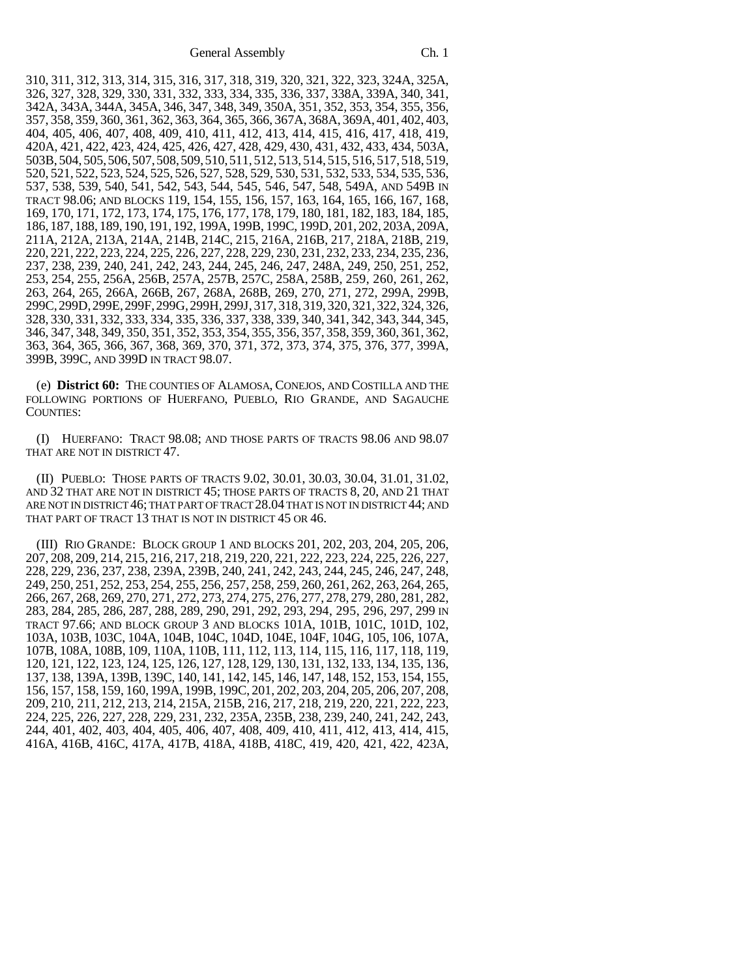310, 311, 312, 313, 314, 315, 316, 317, 318, 319, 320, 321, 322, 323, 324A, 325A, 326, 327, 328, 329, 330, 331, 332, 333, 334, 335, 336, 337, 338A, 339A, 340, 341, 342A, 343A, 344A, 345A, 346, 347, 348, 349, 350A, 351, 352, 353, 354, 355, 356, 357, 358, 359, 360, 361, 362, 363, 364, 365, 366, 367A, 368A, 369A, 401, 402, 403, 404, 405, 406, 407, 408, 409, 410, 411, 412, 413, 414, 415, 416, 417, 418, 419, 420A, 421, 422, 423, 424, 425, 426, 427, 428, 429, 430, 431, 432, 433, 434, 503A, 503B, 504, 505,506,507,508,509,510,511, 512, 513, 514, 515, 516, 517, 518, 519, 520, 521, 522, 523, 524, 525, 526, 527, 528, 529, 530, 531, 532, 533, 534, 535, 536, 537, 538, 539, 540, 541, 542, 543, 544, 545, 546, 547, 548, 549A, AND 549B IN TRACT 98.06; AND BLOCKS 119, 154, 155, 156, 157, 163, 164, 165, 166, 167, 168, 169, 170, 171, 172, 173, 174, 175, 176, 177, 178, 179, 180, 181, 182, 183, 184, 185, 186, 187, 188, 189, 190, 191, 192, 199A, 199B, 199C, 199D, 201, 202, 203A, 209A, 211A, 212A, 213A, 214A, 214B, 214C, 215, 216A, 216B, 217, 218A, 218B, 219, 220, 221, 222, 223, 224, 225, 226, 227, 228, 229, 230, 231, 232, 233, 234, 235, 236, 237, 238, 239, 240, 241, 242, 243, 244, 245, 246, 247, 248A, 249, 250, 251, 252, 253, 254, 255, 256A, 256B, 257A, 257B, 257C, 258A, 258B, 259, 260, 261, 262, 263, 264, 265, 266A, 266B, 267, 268A, 268B, 269, 270, 271, 272, 299A, 299B, 299C,299D,299E,299F,299G,299H, 299J, 317, 318, 319, 320, 321, 322, 324, 326, 328, 330, 331, 332, 333, 334, 335, 336, 337, 338, 339, 340, 341, 342, 343, 344, 345, 346, 347, 348, 349, 350, 351, 352, 353, 354, 355, 356, 357, 358, 359, 360, 361, 362, 363, 364, 365, 366, 367, 368, 369, 370, 371, 372, 373, 374, 375, 376, 377, 399A, 399B, 399C, AND 399D IN TRACT 98.07.

(e) **District 60:** THE COUNTIES OF ALAMOSA, CONEJOS, AND COSTILLA AND THE FOLLOWING PORTIONS OF HUERFANO, PUEBLO, RIO GRANDE, AND SAGAUCHE COUNTIES:

(I) HUERFANO: TRACT 98.08; AND THOSE PARTS OF TRACTS 98.06 AND 98.07 THAT ARE NOT IN DISTRICT 47.

(II) PUEBLO: THOSE PARTS OF TRACTS 9.02, 30.01, 30.03, 30.04, 31.01, 31.02, AND 32 THAT ARE NOT IN DISTRICT 45; THOSE PARTS OF TRACTS 8, 20, AND 21 THAT ARE NOT IN DISTRICT 46; THAT PART OF TRACT 28.04 THAT IS NOT IN DISTRICT 44; AND THAT PART OF TRACT 13 THAT IS NOT IN DISTRICT 45 OR 46.

(III) RIO GRANDE: BLOCK GROUP 1 AND BLOCKS 201, 202, 203, 204, 205, 206, 207, 208, 209, 214, 215, 216, 217, 218, 219, 220, 221, 222, 223, 224, 225, 226, 227, 228, 229, 236, 237, 238, 239A, 239B, 240, 241, 242, 243, 244, 245, 246, 247, 248, 249, 250, 251, 252, 253, 254, 255, 256, 257, 258, 259, 260, 261, 262, 263, 264, 265, 266, 267, 268, 269, 270, 271, 272, 273, 274, 275, 276, 277, 278, 279, 280, 281, 282, 283, 284, 285, 286, 287, 288, 289, 290, 291, 292, 293, 294, 295, 296, 297, 299 IN TRACT 97.66; AND BLOCK GROUP 3 AND BLOCKS 101A, 101B, 101C, 101D, 102, 103A, 103B, 103C, 104A, 104B, 104C, 104D, 104E, 104F, 104G, 105, 106, 107A, 107B, 108A, 108B, 109, 110A, 110B, 111, 112, 113, 114, 115, 116, 117, 118, 119, 120, 121, 122, 123, 124, 125, 126, 127, 128, 129, 130, 131, 132, 133, 134, 135, 136, 137, 138, 139A, 139B, 139C, 140, 141, 142, 145, 146, 147, 148, 152, 153, 154, 155, 156, 157, 158, 159, 160, 199A, 199B, 199C, 201, 202, 203, 204, 205, 206, 207, 208, 209, 210, 211, 212, 213, 214, 215A, 215B, 216, 217, 218, 219, 220, 221, 222, 223, 224, 225, 226, 227, 228, 229, 231, 232, 235A, 235B, 238, 239, 240, 241, 242, 243, 244, 401, 402, 403, 404, 405, 406, 407, 408, 409, 410, 411, 412, 413, 414, 415, 416A, 416B, 416C, 417A, 417B, 418A, 418B, 418C, 419, 420, 421, 422, 423A,